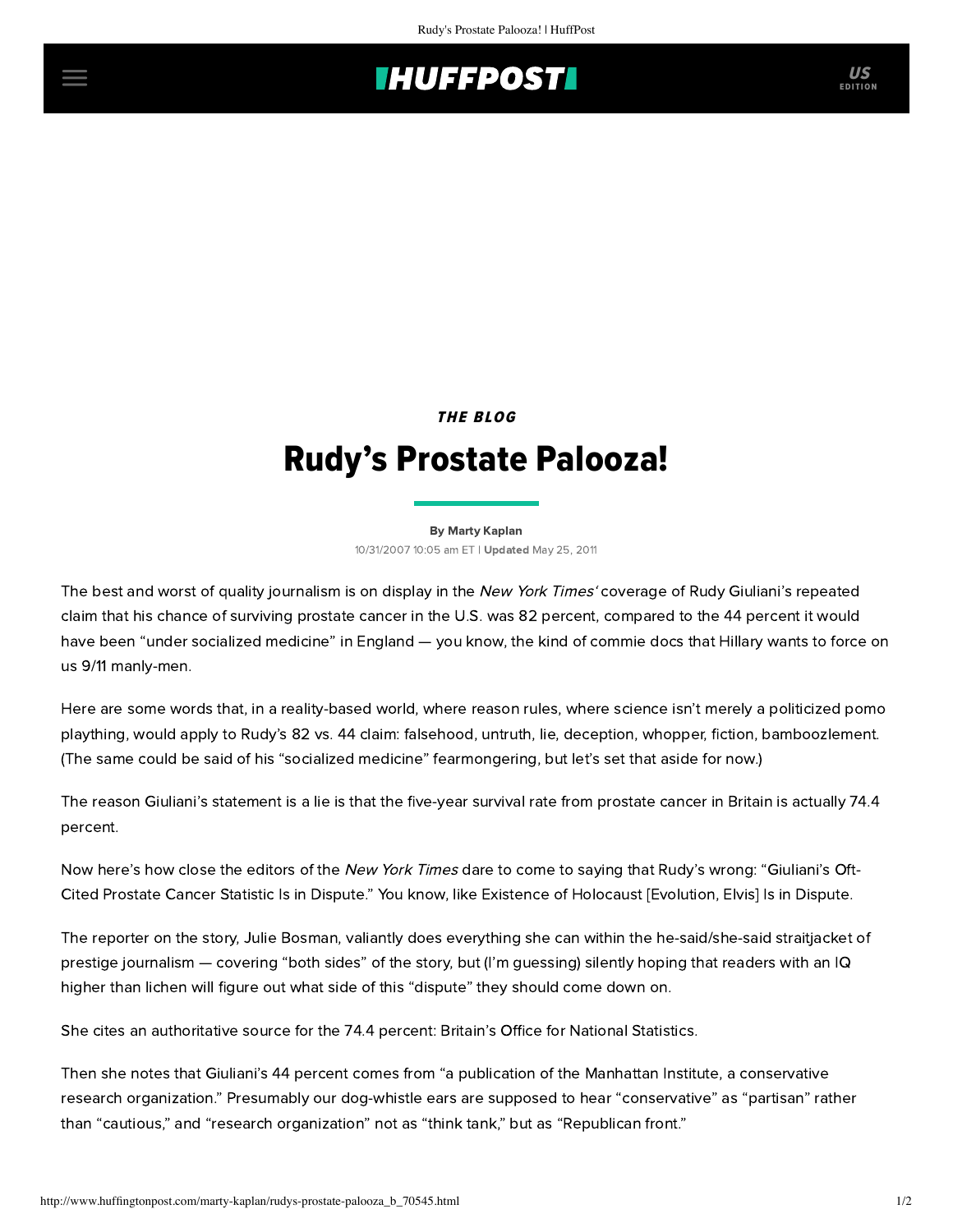## **THUFFPOSTI** US

THE BLOG

## Rudy's Prostate Palooza!

[By Marty Kaplan](http://www.huffingtonpost.com/author/marty-kaplan) 10/31/2007 10:05 am ET | Updated May 25, 2011

The best and worst of quality journalism is on display in the [New York](http://www.nytimes.com/2007/10/31/us/politics/31prostate.html) Times' coverage of Rudy Giuliani's repeated claim that his chance of surviving prostate cancer in the U.S. was 82 percent, compared to the 44 percent it would have been "under socialized medicine" in England — you know, the kind of commie docs that Hillary wants to force on us 9/11 manly-men.

Here are some words that, in a reality-based world, where reason rules, where science isn't merely a politicized pomo plaything, would apply to Rudy's 82 vs. 44 claim: falsehood, untruth, lie, deception, whopper, fiction, bamboozlement. (The same could be said of his "socialized medicine" fearmongering, but let's set that aside for now.)

The reason Giuliani's statement is a lie is that the five-year survival rate from prostate cancer in Britain is actually 74.4 percent.

Now here's how close the editors of the New York Times dare to come to saying that Rudy's wrong: "Giuliani's Oft-Cited Prostate Cancer Statistic Is in Dispute." You know, like Existence of Holocaust [Evolution, Elvis] Is in Dispute.

The reporter on the story, Julie Bosman, valiantly does everything she can within the he-said/she-said straitjacket of prestige journalism — covering "both sides" of the story, but (I'm guessing) silently hoping that readers with an IQ higher than lichen will figure out what side of this "dispute" they should come down on.

She cites an authoritative source for the 74.4 percent: Britain's Office for National Statistics.

Then she notes that Giuliani's 44 percent comes from "a publication of the Manhattan Institute, a conservative research organization." Presumably our dog-whistle ears are supposed to hear "conservative" as "partisan" rather than "cautious," and "research organization" not as "think tank," but as "Republican front."